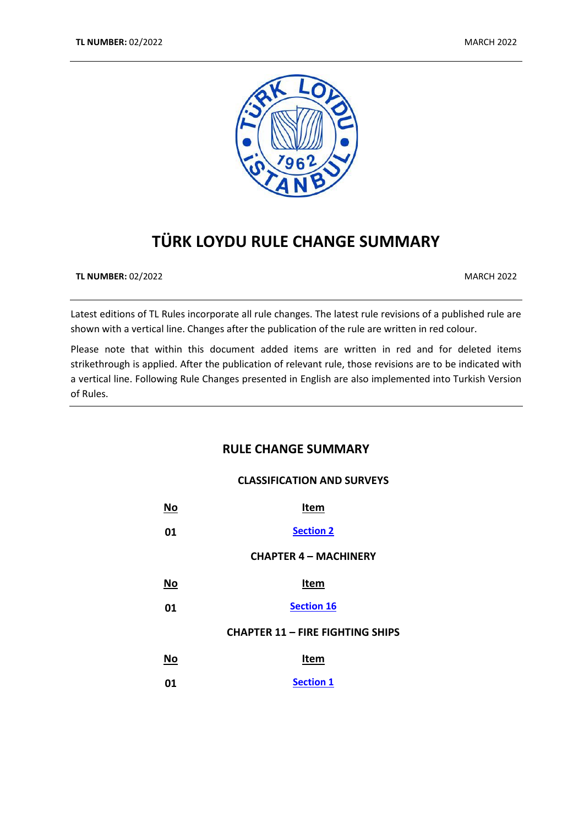

# **TÜRK LOYDU RULE CHANGE SUMMARY**

**TL NUMBER:** 02/2022 MARCH 2022

Latest editions of TL Rules incorporate all rule changes. The latest rule revisions of a published rule are shown with a vertical line. Changes after the publication of the rule are written in red colour.

Please note that within this document added items are written in red and for deleted items strikethrough is applied. After the publication of relevant rule, those revisions are to be indicated with a vertical line. Following Rule Changes presented in English are also implemented into Turkish Version of Rules.

# **RULE CHANGE SUMMARY**

# **CLASSIFICATION AND SURVEYS**

| No | Item                                    |
|----|-----------------------------------------|
| 01 | <b>Section 2</b>                        |
|    | <b>CHAPTER 4 - MACHINERY</b>            |
| No | Item                                    |
| 01 | <b>Section 16</b>                       |
|    | <b>CHAPTER 11 - FIRE FIGHTING SHIPS</b> |
| No | Item                                    |
| 01 | <b>Section 1</b>                        |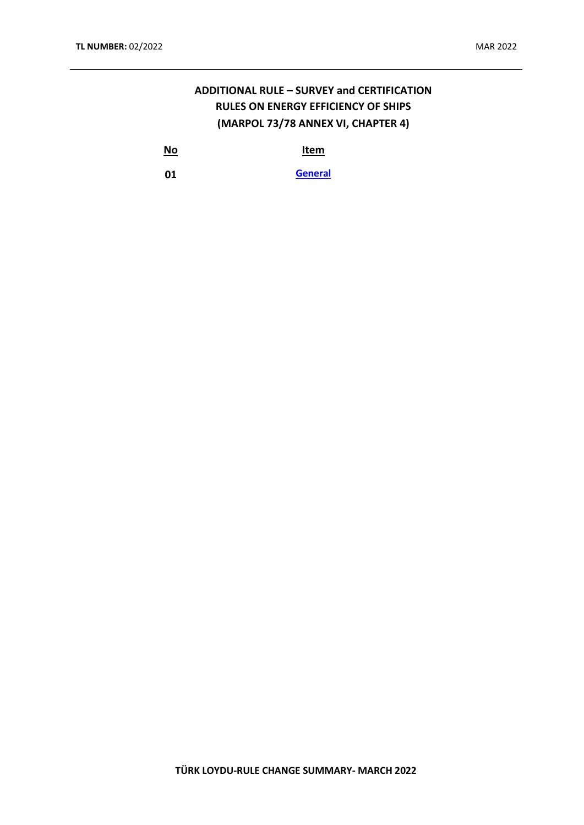# **ADDITIONAL RULE – SURVEY and CERTIFICATION RULES ON ENERGY EFFICIENCY OF SHIPS (MARPOL 73/78 ANNEX VI, CHAPTER 4)**

**No Item**

**01 [General](#page-5-1)**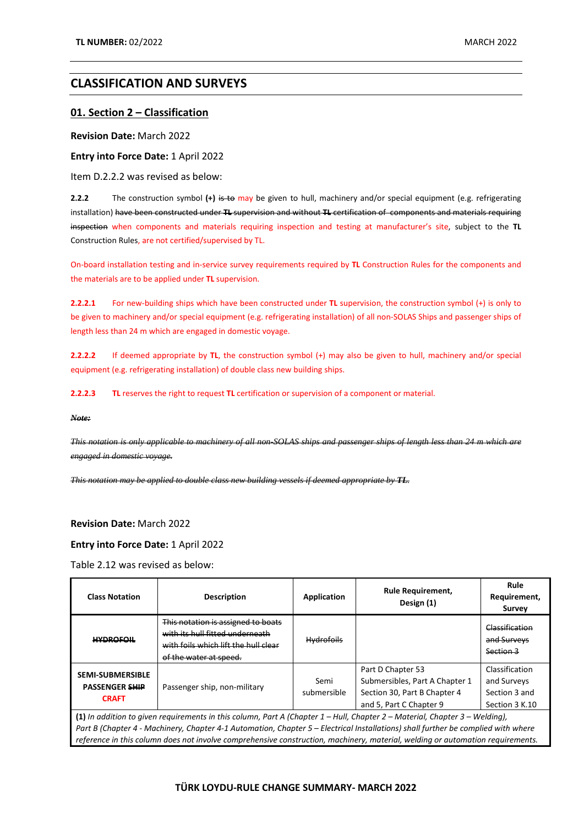# **CLASSIFICATION AND SURVEYS**

### <span id="page-2-0"></span>**01. Section 2 – Classification**

**Revision Date:** March 2022

**Entry into Force Date:** 1 April 2022

Item D.2.2.2 was revised as below:

**2.2.2** The construction symbol (+) is to may be given to hull, machinery and/or special equipment (e.g. refrigerating installation) have been constructed under **TL** supervision and without **TL** certification of components and materials requiring inspection when components and materials requiring inspection and testing at manufacturer's site, subject to the **TL** Construction Rules, are not certified/supervised by TL.

On-board installation testing and in-service survey requirements required by **TL** Construction Rules for the components and the materials are to be applied under **TL** supervision.

**2.2.2.1** For new-building ships which have been constructed under **TL** supervision, the construction symbol (+) is only to be given to machinery and/or special equipment (e.g. refrigerating installation) of all non-SOLAS Ships and passenger ships of length less than 24 m which are engaged in domestic voyage.

**2.2.2.2** If deemed appropriate by **TL**, the construction symbol (+) may also be given to hull, machinery and/or special equipment (e.g. refrigerating installation) of double class new building ships.

**2.2.2.3 TL** reserves the right to request **TL** certification or supervision of a component or material.

*Note:* 

*This notation is only applicable to machinery of all non-SOLAS ships and passenger ships of length less than 24 m which are engaged in domestic voyage.*

*This notation may be applied to double class new building vessels if deemed appropriate by TL.*

#### **Revision Date:** March 2022

**Entry into Force Date:** 1 April 2022

Table 2.12 was revised as below:

| <b>Class Notation</b>                                                                                                                                                                                                                                            | <b>Description</b>                                                                                                                      | Application         | <b>Rule Requirement,</b><br>Design (1)                                                                         | Rule<br>Requirement,<br>Survey                                   |
|------------------------------------------------------------------------------------------------------------------------------------------------------------------------------------------------------------------------------------------------------------------|-----------------------------------------------------------------------------------------------------------------------------------------|---------------------|----------------------------------------------------------------------------------------------------------------|------------------------------------------------------------------|
| <b>HYDROFOIL</b>                                                                                                                                                                                                                                                 | This notation is assigned to boats<br>with its hull fitted underneath<br>with foils which lift the hull clear<br>of the water at speed. | <b>Hydrofoils</b>   |                                                                                                                | Classification<br>and Surveys<br>Section 3                       |
| <b>SEMI-SUBMERSIBLE</b><br><b>PASSENGER SHIP</b><br><b>CRAFT</b>                                                                                                                                                                                                 | Passenger ship, non-military                                                                                                            | Semi<br>submersible | Part D Chapter 53<br>Submersibles, Part A Chapter 1<br>Section 30, Part B Chapter 4<br>and 5. Part C Chapter 9 | Classification<br>and Surveys<br>Section 3 and<br>Section 3 K.10 |
| (1) In addition to given requirements in this column, Part A (Chapter 1 – Hull, Chapter 2 – Material, Chapter 3 – Welding),<br>Part B (Chapter 4 - Machinery, Chapter 4-1 Automation, Chapter 5 – Electrical Installations) shall further be complied with where |                                                                                                                                         |                     |                                                                                                                |                                                                  |

*reference in this column does not involve comprehensive construction, machinery, material, welding or automation requirements.*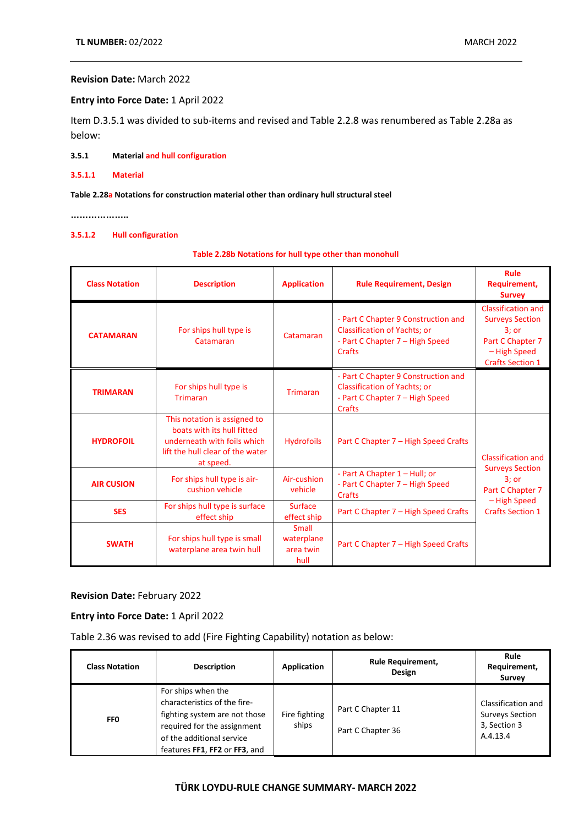### **Revision Date:** March 2022

### **Entry into Force Date:** 1 April 2022

Item D.3.5.1 was divided to sub-items and revised and Table 2.2.8 was renumbered as Table 2.28a as below:

**3.5.1 Material and hull configuration**

**3.5.1.1 Material**

#### **Table 2.28a Notations for construction material other than ordinary hull structural steel**

**………………..**

# **3.5.1.2 Hull configuration**

### **Table 2.28b Notations for hull type other than monohull**

| <b>Class Notation</b> | <b>Description</b>                                                                                                                         | <b>Application</b>                       | <b>Rule Requirement, Design</b>                                                                                         | <b>Rule</b><br>Requirement,<br><b>Survey</b>                                                                                  |
|-----------------------|--------------------------------------------------------------------------------------------------------------------------------------------|------------------------------------------|-------------------------------------------------------------------------------------------------------------------------|-------------------------------------------------------------------------------------------------------------------------------|
| <b>CATAMARAN</b>      | For ships hull type is<br>Catamaran                                                                                                        | Catamaran                                | - Part C Chapter 9 Construction and<br><b>Classification of Yachts; or</b><br>- Part C Chapter 7 - High Speed<br>Crafts | <b>Classification and</b><br><b>Surveys Section</b><br>$3:$ or<br>Part C Chapter 7<br>- High Speed<br><b>Crafts Section 1</b> |
| <b>TRIMARAN</b>       | For ships hull type is<br><b>Trimaran</b>                                                                                                  | <b>Trimaran</b>                          | - Part C Chapter 9 Construction and<br><b>Classification of Yachts; or</b><br>- Part C Chapter 7 - High Speed<br>Crafts |                                                                                                                               |
| <b>HYDROFOIL</b>      | This notation is assigned to<br>boats with its hull fitted<br>underneath with foils which<br>lift the hull clear of the water<br>at speed. | <b>Hydrofoils</b>                        | Part C Chapter 7 – High Speed Crafts                                                                                    | <b>Classification and</b><br><b>Surveys Section</b><br>$3:$ or<br>Part C Chapter 7<br>- High Speed<br><b>Crafts Section 1</b> |
| <b>AIR CUSION</b>     | For ships hull type is air-<br>cushion vehicle                                                                                             | Air-cushion<br>vehicle                   | - Part A Chapter 1 - Hull; or<br>- Part C Chapter 7 - High Speed<br>Crafts                                              |                                                                                                                               |
| <b>SES</b>            | For ships hull type is surface<br>effect ship                                                                                              | <b>Surface</b><br>effect ship            | Part C Chapter 7 - High Speed Crafts                                                                                    |                                                                                                                               |
| <b>SWATH</b>          | For ships hull type is small<br>waterplane area twin hull                                                                                  | Small<br>waterplane<br>area twin<br>hull | Part C Chapter 7 - High Speed Crafts                                                                                    |                                                                                                                               |

### **Revision Date:** February 2022

### **Entry into Force Date:** 1 April 2022

Table 2.36 was revised to add (Fire Fighting Capability) notation as below:

| <b>Class Notation</b> | <b>Description</b>                                                                                                                                                               | Application            | <b>Rule Requirement,</b><br>Design     | Rule<br>Requirement,<br>Survey                                           |
|-----------------------|----------------------------------------------------------------------------------------------------------------------------------------------------------------------------------|------------------------|----------------------------------------|--------------------------------------------------------------------------|
| <b>FFO</b>            | For ships when the<br>characteristics of the fire-<br>fighting system are not those<br>required for the assignment<br>of the additional service<br>features FF1, FF2 or FF3, and | Fire fighting<br>ships | Part C Chapter 11<br>Part C Chapter 36 | Classification and<br><b>Surveys Section</b><br>3, Section 3<br>A.4.13.4 |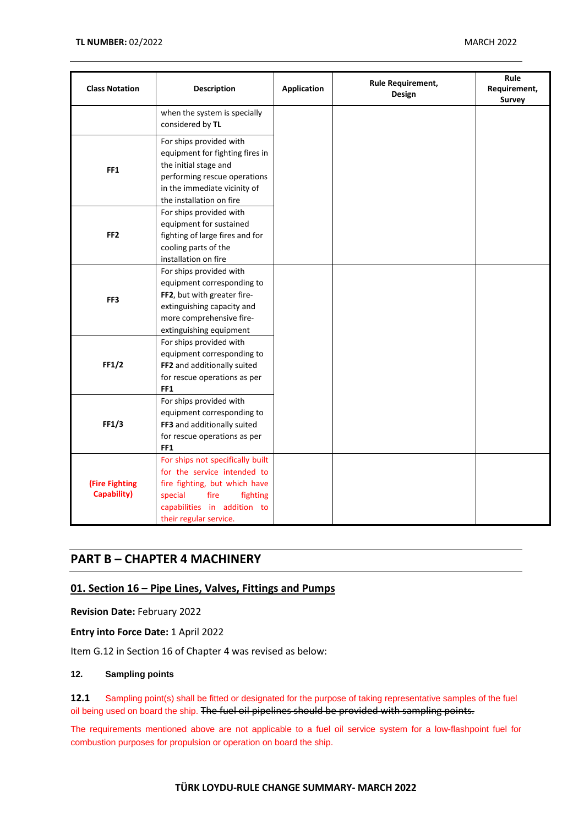| <b>Class Notation</b>                | Description                                                                                                                                                                              | <b>Application</b> | Rule Requirement,<br>Design | Rule<br>Requirement,<br><b>Survey</b> |
|--------------------------------------|------------------------------------------------------------------------------------------------------------------------------------------------------------------------------------------|--------------------|-----------------------------|---------------------------------------|
|                                      | when the system is specially<br>considered by TL                                                                                                                                         |                    |                             |                                       |
| FF <sub>1</sub>                      | For ships provided with<br>equipment for fighting fires in<br>the initial stage and<br>performing rescue operations<br>in the immediate vicinity of<br>the installation on fire          |                    |                             |                                       |
| FF <sub>2</sub>                      | For ships provided with<br>equipment for sustained<br>fighting of large fires and for<br>cooling parts of the<br>installation on fire                                                    |                    |                             |                                       |
| FF3                                  | For ships provided with<br>equipment corresponding to<br>FF2, but with greater fire-<br>extinguishing capacity and<br>more comprehensive fire-<br>extinguishing equipment                |                    |                             |                                       |
| FF1/2                                | For ships provided with<br>equipment corresponding to<br>FF2 and additionally suited<br>for rescue operations as per<br>FF <sub>1</sub>                                                  |                    |                             |                                       |
| FF1/3                                | For ships provided with<br>equipment corresponding to<br>FF3 and additionally suited<br>for rescue operations as per<br>FF <sub>1</sub>                                                  |                    |                             |                                       |
| (Fire Fighting<br><b>Capability)</b> | For ships not specifically built<br>for the service intended to<br>fire fighting, but which have<br>special<br>fire<br>fighting<br>capabilities in addition to<br>their regular service. |                    |                             |                                       |

# **PART B – CHAPTER 4 MACHINERY**

# <span id="page-4-0"></span>**01. Section 16 – Pipe Lines, Valves, Fittings and Pumps**

**Revision Date:** February 2022

**Entry into Force Date:** 1 April 2022

Item G.12 in Section 16 of Chapter 4 was revised as below:

### **12. Sampling points**

**12.1** Sampling point(s) shall be fitted or designated for the purpose of taking representative samples of the fuel oil being used on board the ship. The fuel oil pipelines should be provided with sampling points.

The requirements mentioned above are not applicable to a fuel oil service system for a low-flashpoint fuel for combustion purposes for propulsion or operation on board the ship.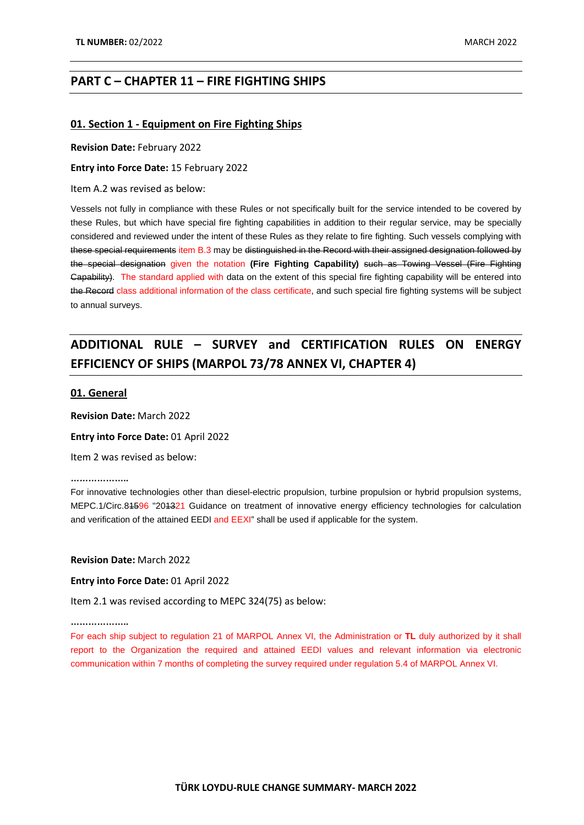# **PART C – CHAPTER 11 – FIRE FIGHTING SHIPS**

### <span id="page-5-0"></span>**01. Section 1 - Equipment on Fire Fighting Ships**

#### **Revision Date:** February 2022

**Entry into Force Date:** 15 February 2022

Item A.2 was revised as below:

Vessels not fully in compliance with these Rules or not specifically built for the service intended to be covered by these Rules, but which have special fire fighting capabilities in addition to their regular service, may be specially considered and reviewed under the intent of these Rules as they relate to fire fighting. Such vessels complying with these special requirements item B.3 may be distinguished in the Record with their assigned designation followed by the special designation given the notation **(Fire Fighting Capability)** such as Towing Vessel (Fire Fighting Capability). The standard applied with data on the extent of this special fire fighting capability will be entered into the Record class additional information of the class certificate, and such special fire fighting systems will be subject to annual surveys.

# **ADDITIONAL RULE – SURVEY and CERTIFICATION RULES ON ENERGY EFFICIENCY OF SHIPS (MARPOL 73/78 ANNEX VI, CHAPTER 4)**

### <span id="page-5-1"></span>**01. General**

**Revision Date:** March 2022

**Entry into Force Date:** 01 April 2022

Item 2 was revised as below:

**………………..**

For innovative technologies other than diesel-electric propulsion, turbine propulsion or hybrid propulsion systems, MEPC.1/Circ.84596 "204321 Guidance on treatment of innovative energy efficiency technologies for calculation and verification of the attained EEDI and EEXI" shall be used if applicable for the system.

**Revision Date:** March 2022

**Entry into Force Date:** 01 April 2022

Item 2.1 was revised according to MEPC 324(75) as below:

**………………..**

For each ship subject to regulation 21 of MARPOL Annex VI, the Administration or **TL** duly authorized by it shall report to the Organization the required and attained EEDI values and relevant information via electronic communication within 7 months of completing the survey required under regulation 5.4 of MARPOL Annex VI.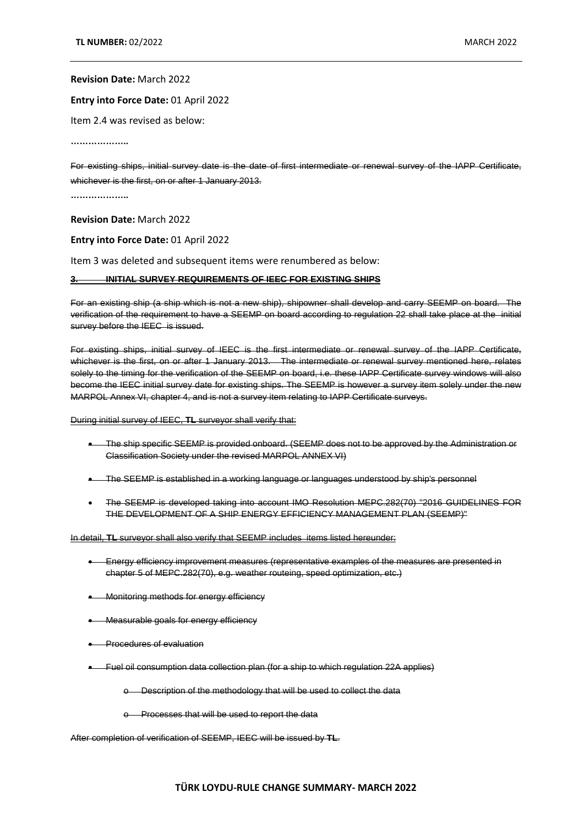### **Revision Date:** March 2022

### **Entry into Force Date:** 01 April 2022

Item 2.4 was revised as below:

**………………..**

For existing ships, initial survey date is the date of first intermediate or renewal survey of the IAPP Certificate, whichever is the first, on or after 1 January 2013.

**………………..**

**Revision Date:** March 2022

#### **Entry into Force Date:** 01 April 2022

Item 3 was deleted and subsequent items were renumbered as below:

#### **3. INITIAL SURVEY REQUIREMENTS OF IEEC FOR EXISTING SHIPS**

For an existing ship (a ship which is not a new ship), shipowner shall develop and carry SEEMP on board. The verification of the requirement to have a SEEMP on board according to regulation 22 shall take place at the initial survey before the IEEC is issued.

For existing ships, initial survey of IEEC is the first intermediate or renewal survey of the IAPP Certificate, whichever is the first, on or after 1 January 2013. The intermediate or renewal survey mentioned here, relates solely to the timing for the verification of the SEEMP on board, i.e. these IAPP Certificate survey windows will also become the IEEC initial survey date for existing ships. The SEEMP is however a survey item solely under the new MARPOL Annex VI, chapter 4, and is not a survey item relating to IAPP Certificate surveys.

During initial survey of IEEC, **TL** surveyor shall verify that:

- The ship specific SEEMP is provided onboard. (SEEMP does not to be approved by the Administration or Classification Society under the revised MARPOL ANNEX VI)
- The SEEMP is established in a working language or languages understood by ship's personnel
- The SEEMP is developed taking into account IMO Resolution MEPC.282(70) "2016 GUIDELINES FOR THE DEVELOPMENT OF A SHIP ENERGY EFFICIENCY MANAGEMENT PLAN (SEEMP)"

In detail, **TL** surveyor shall also verify that SEEMP includes items listed hereunder:

- Energy efficiency improvement measures (representative examples of the measures are presented in chapter 5 of MEPC.282(70), e.g. weather routeing, speed optimization, etc.)
- Monitoring methods for energy efficiency
- Measurable goals for energy efficiency
- **•** Procedures of evaluation
- Fuel oil consumption data collection plan (for a ship to which regulation 22A applies)

o Description of the methodology that will be used to collect the data

o Processes that will be used to report the data

After completion of verification of SEEMP, IEEC will be issued by **TL**.

### **TÜRK LOYDU-RULE CHANGE SUMMARY- MARCH 2022**